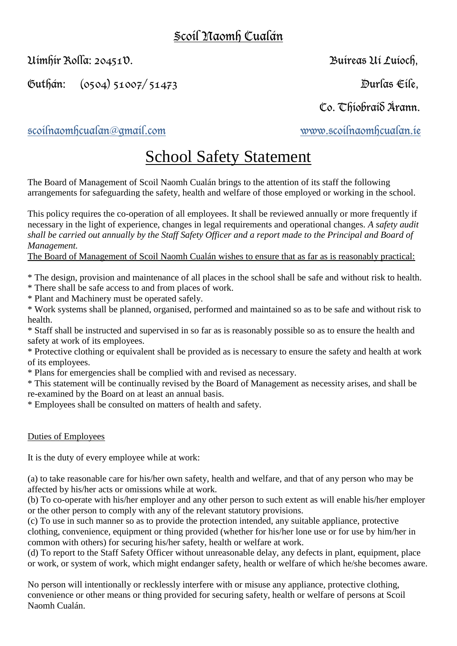# Scoil Naomh Cualán

Uimhir Rolla: 20451V. Buireas Uí Luíoch,

Guthán: (0504) 51007/ 51473 Durlas Eile,

Co. Thiobraid Árann.

[scoilnaomhcualan@gmail.com](mailto:scoilnaomhcualan@gmail.com) [www.scoilnaomhcualan.ie](http://www.scoilnaomhcualan.ie/)

# School Safety Statement

The Board of Management of Scoil Naomh Cualán brings to the attention of its staff the following arrangements for safeguarding the safety, health and welfare of those employed or working in the school.

This policy requires the co-operation of all employees. It shall be reviewed annually or more frequently if necessary in the light of experience, changes in legal requirements and operational changes. *A safety audit shall be carried out annually by the Staff Safety Officer and a report made to the Principal and Board of Management.* 

The Board of Management of Scoil Naomh Cualán wishes to ensure that as far as is reasonably practical:

\* The design, provision and maintenance of all places in the school shall be safe and without risk to health.

\* There shall be safe access to and from places of work.

\* Plant and Machinery must be operated safely.

\* Work systems shall be planned, organised, performed and maintained so as to be safe and without risk to health.

\* Staff shall be instructed and supervised in so far as is reasonably possible so as to ensure the health and safety at work of its employees.

\* Protective clothing or equivalent shall be provided as is necessary to ensure the safety and health at work of its employees.

\* Plans for emergencies shall be complied with and revised as necessary.

\* This statement will be continually revised by the Board of Management as necessity arises, and shall be re-examined by the Board on at least an annual basis.

\* Employees shall be consulted on matters of health and safety.

## Duties of Employees

It is the duty of every employee while at work:

(a) to take reasonable care for his/her own safety, health and welfare, and that of any person who may be affected by his/her acts or omissions while at work.

(b) To co-operate with his/her employer and any other person to such extent as will enable his/her employer or the other person to comply with any of the relevant statutory provisions.

(c) To use in such manner so as to provide the protection intended, any suitable appliance, protective clothing, convenience, equipment or thing provided (whether for his/her lone use or for use by him/her in common with others) for securing his/her safety, health or welfare at work.

(d) To report to the Staff Safety Officer without unreasonable delay, any defects in plant, equipment, place or work, or system of work, which might endanger safety, health or welfare of which he/she becomes aware.

No person will intentionally or recklessly interfere with or misuse any appliance, protective clothing, convenience or other means or thing provided for securing safety, health or welfare of persons at Scoil Naomh Cualán.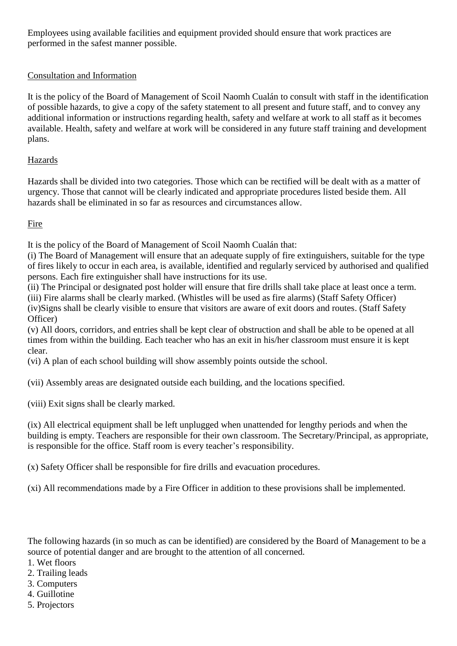Employees using available facilities and equipment provided should ensure that work practices are performed in the safest manner possible.

### Consultation and Information

It is the policy of the Board of Management of Scoil Naomh Cualán to consult with staff in the identification of possible hazards, to give a copy of the safety statement to all present and future staff, and to convey any additional information or instructions regarding health, safety and welfare at work to all staff as it becomes available. Health, safety and welfare at work will be considered in any future staff training and development plans.

#### Hazards

Hazards shall be divided into two categories. Those which can be rectified will be dealt with as a matter of urgency. Those that cannot will be clearly indicated and appropriate procedures listed beside them. All hazards shall be eliminated in so far as resources and circumstances allow.

Fire

It is the policy of the Board of Management of Scoil Naomh Cualán that:

(i) The Board of Management will ensure that an adequate supply of fire extinguishers, suitable for the type of fires likely to occur in each area, is available, identified and regularly serviced by authorised and qualified persons. Each fire extinguisher shall have instructions for its use.

(ii) The Principal or designated post holder will ensure that fire drills shall take place at least once a term. (iii) Fire alarms shall be clearly marked. (Whistles will be used as fire alarms) (Staff Safety Officer) (iv)Signs shall be clearly visible to ensure that visitors are aware of exit doors and routes. (Staff Safety Officer)

(v) All doors, corridors, and entries shall be kept clear of obstruction and shall be able to be opened at all times from within the building. Each teacher who has an exit in his/her classroom must ensure it is kept clear.

(vi) A plan of each school building will show assembly points outside the school.

(vii) Assembly areas are designated outside each building, and the locations specified.

(viii) Exit signs shall be clearly marked.

(ix) All electrical equipment shall be left unplugged when unattended for lengthy periods and when the building is empty. Teachers are responsible for their own classroom. The Secretary/Principal, as appropriate, is responsible for the office. Staff room is every teacher's responsibility.

(x) Safety Officer shall be responsible for fire drills and evacuation procedures.

(xi) All recommendations made by a Fire Officer in addition to these provisions shall be implemented.

The following hazards (in so much as can be identified) are considered by the Board of Management to be a source of potential danger and are brought to the attention of all concerned.

- 1. Wet floors
- 2. Trailing leads
- 3. Computers
- 4. Guillotine
- 5. Projectors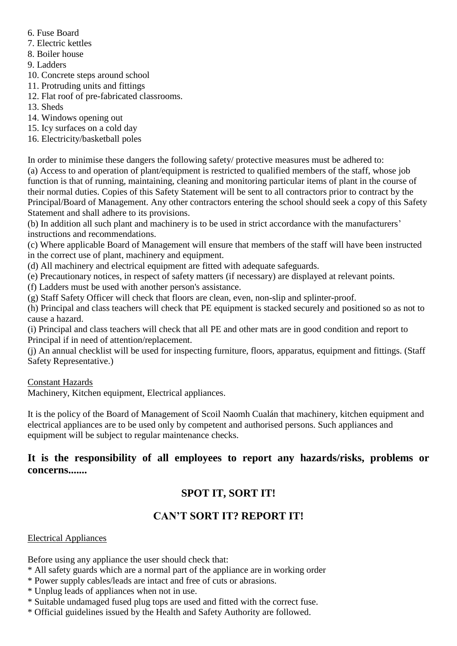- 6. Fuse Board
- 7. Electric kettles
- 8. Boiler house
- 9. Ladders
- 10. Concrete steps around school
- 11. Protruding units and fittings
- 12. Flat roof of pre-fabricated classrooms.
- 13. Sheds
- 14. Windows opening out
- 15. Icy surfaces on a cold day
- 16. Electricity/basketball poles

In order to minimise these dangers the following safety/ protective measures must be adhered to:

(a) Access to and operation of plant/equipment is restricted to qualified members of the staff, whose job function is that of running, maintaining, cleaning and monitoring particular items of plant in the course of their normal duties. Copies of this Safety Statement will be sent to all contractors prior to contract by the Principal/Board of Management. Any other contractors entering the school should seek a copy of this Safety Statement and shall adhere to its provisions.

(b) In addition all such plant and machinery is to be used in strict accordance with the manufacturers' instructions and recommendations.

(c) Where applicable Board of Management will ensure that members of the staff will have been instructed in the correct use of plant, machinery and equipment.

- (d) All machinery and electrical equipment are fitted with adequate safeguards.
- (e) Precautionary notices, in respect of safety matters (if necessary) are displayed at relevant points.
- (f) Ladders must be used with another person's assistance.
- (g) Staff Safety Officer will check that floors are clean, even, non-slip and splinter-proof.

(h) Principal and class teachers will check that PE equipment is stacked securely and positioned so as not to cause a hazard.

(i) Principal and class teachers will check that all PE and other mats are in good condition and report to Principal if in need of attention/replacement.

(j) An annual checklist will be used for inspecting furniture, floors, apparatus, equipment and fittings. (Staff Safety Representative.)

Constant Hazards

Machinery, Kitchen equipment, Electrical appliances.

It is the policy of the Board of Management of Scoil Naomh Cualán that machinery, kitchen equipment and electrical appliances are to be used only by competent and authorised persons. Such appliances and equipment will be subject to regular maintenance checks.

# **It is the responsibility of all employees to report any hazards/risks, problems or concerns.......**

# **SPOT IT, SORT IT!**

# **CAN'T SORT IT? REPORT IT!**

## Electrical Appliances

Before using any appliance the user should check that:

- \* All safety guards which are a normal part of the appliance are in working order
- \* Power supply cables/leads are intact and free of cuts or abrasions.
- \* Unplug leads of appliances when not in use.
- \* Suitable undamaged fused plug tops are used and fitted with the correct fuse.
- \* Official guidelines issued by the Health and Safety Authority are followed.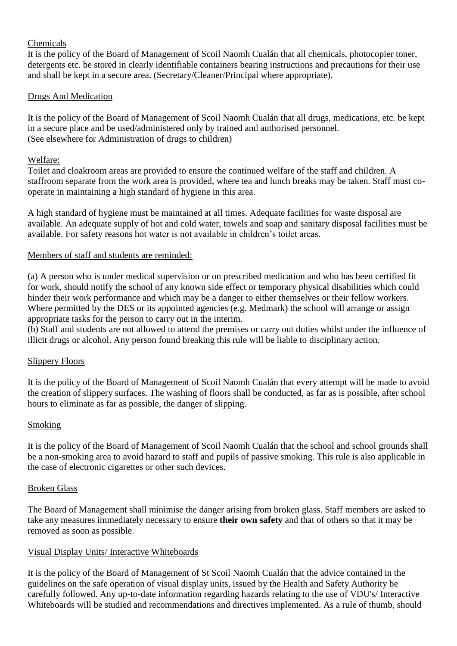#### Chemicals

It is the policy of the Board of Management of Scoil Naomh Cualán that all chemicals, photocopier toner, detergents etc. be stored in clearly identifiable containers bearing instructions and precautions for their use and shall be kept in a secure area. (Secretary/Cleaner/Principal where appropriate).

#### Drugs And Medication

It is the policy of the Board of Management of Scoil Naomh Cualán that all drugs, medications, etc. be kept in a secure place and be used/administered only by trained and authorised personnel. (See elsewhere for Administration of drugs to children)

#### Welfare:

Toilet and cloakroom areas are provided to ensure the continued welfare of the staff and children. A staffroom separate from the work area is provided, where tea and lunch breaks may be taken. Staff must cooperate in maintaining a high standard of hygiene in this area.

A high standard of hygiene must be maintained at all times. Adequate facilities for waste disposal are available. An adequate supply of hot and cold water, towels and soap and sanitary disposal facilities must be available. For safety reasons hot water is not available in children's toilet areas.

#### Members of staff and students are reminded:

(a) A person who is under medical supervision or on prescribed medication and who has been certified fit for work, should notify the school of any known side effect or temporary physical disabilities which could hinder their work performance and which may be a danger to either themselves or their fellow workers. Where permitted by the DES or its appointed agencies (e.g. Medmark) the school will arrange or assign appropriate tasks for the person to carry out in the interim.

(b) Staff and students are not allowed to attend the premises or carry out duties whilst under the influence of illicit drugs or alcohol. Any person found breaking this rule will be liable to disciplinary action.

#### Slippery Floors

It is the policy of the Board of Management of Scoil Naomh Cualán that every attempt will be made to avoid the creation of slippery surfaces. The washing of floors shall be conducted, as far as is possible, after school hours to eliminate as far as possible, the danger of slipping.

#### Smoking

It is the policy of the Board of Management of Scoil Naomh Cualán that the school and school grounds shall be a non-smoking area to avoid hazard to staff and pupils of passive smoking. This rule is also applicable in the case of electronic cigarettes or other such devices.

#### Broken Glass

The Board of Management shall minimise the danger arising from broken glass. Staff members are asked to take any measures immediately necessary to ensure **their own safety** and that of others so that it may be removed as soon as possible.

#### Visual Display Units/ Interactive Whiteboards

It is the policy of the Board of Management of St Scoil Naomh Cualán that the advice contained in the guidelines on the safe operation of visual display units, issued by the Health and Safety Authority be carefully followed. Any up-to-date information regarding hazards relating to the use of VDU's/ Interactive Whiteboards will be studied and recommendations and directives implemented. As a rule of thumb, should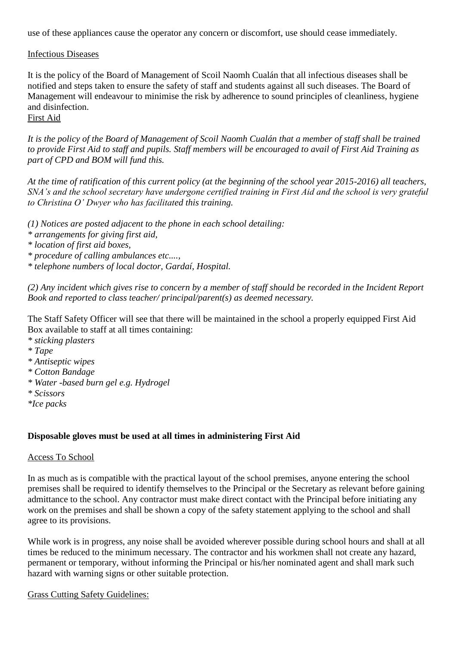use of these appliances cause the operator any concern or discomfort, use should cease immediately.

#### Infectious Diseases

It is the policy of the Board of Management of Scoil Naomh Cualán that all infectious diseases shall be notified and steps taken to ensure the safety of staff and students against all such diseases. The Board of Management will endeavour to minimise the risk by adherence to sound principles of cleanliness, hygiene and disinfection.

## First Aid

*It is the policy of the Board of Management of Scoil Naomh Cualán that a member of staff shall be trained to provide First Aid to staff and pupils. Staff members will be encouraged to avail of First Aid Training as part of CPD and BOM will fund this.*

*At the time of ratification of this current policy (at the beginning of the school year 2015-2016) all teachers, SNA's and the school secretary have undergone certified training in First Aid and the school is very grateful to Christina O' Dwyer who has facilitated this training.*

*(1) Notices are posted adjacent to the phone in each school detailing: \* arrangements for giving first aid,*

*\* location of first aid boxes,*

*\* procedure of calling ambulances etc....,*

*\* telephone numbers of local doctor, Gardaí, Hospital.*

*(2) Any incident which gives rise to concern by a member of staff should be recorded in the Incident Report Book and reported to class teacher/ principal/parent(s) as deemed necessary.*

The Staff Safety Officer will see that there will be maintained in the school a properly equipped First Aid Box available to staff at all times containing:

- *\* sticking plasters*
- *\* Tape*
- *\* Antiseptic wipes*
- *\* Cotton Bandage*
- *\* Water -based burn gel e.g. Hydrogel*
- *\* Scissors*
- *\*Ice packs*

#### **Disposable gloves must be used at all times in administering First Aid**

#### Access To School

In as much as is compatible with the practical layout of the school premises, anyone entering the school premises shall be required to identify themselves to the Principal or the Secretary as relevant before gaining admittance to the school. Any contractor must make direct contact with the Principal before initiating any work on the premises and shall be shown a copy of the safety statement applying to the school and shall agree to its provisions.

While work is in progress, any noise shall be avoided wherever possible during school hours and shall at all times be reduced to the minimum necessary. The contractor and his workmen shall not create any hazard, permanent or temporary, without informing the Principal or his/her nominated agent and shall mark such hazard with warning signs or other suitable protection.

Grass Cutting Safety Guidelines: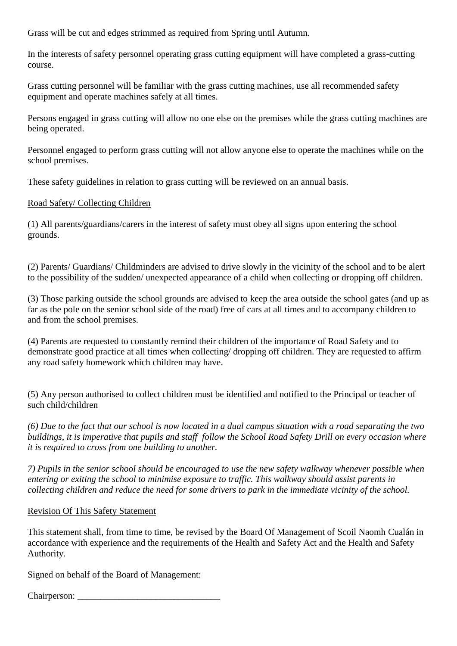Grass will be cut and edges strimmed as required from Spring until Autumn.

In the interests of safety personnel operating grass cutting equipment will have completed a grass-cutting course.

Grass cutting personnel will be familiar with the grass cutting machines, use all recommended safety equipment and operate machines safely at all times.

Persons engaged in grass cutting will allow no one else on the premises while the grass cutting machines are being operated.

Personnel engaged to perform grass cutting will not allow anyone else to operate the machines while on the school premises.

These safety guidelines in relation to grass cutting will be reviewed on an annual basis.

#### Road Safety/ Collecting Children

(1) All parents/guardians/carers in the interest of safety must obey all signs upon entering the school grounds.

(2) Parents/ Guardians/ Childminders are advised to drive slowly in the vicinity of the school and to be alert to the possibility of the sudden/ unexpected appearance of a child when collecting or dropping off children.

(3) Those parking outside the school grounds are advised to keep the area outside the school gates (and up as far as the pole on the senior school side of the road) free of cars at all times and to accompany children to and from the school premises.

(4) Parents are requested to constantly remind their children of the importance of Road Safety and to demonstrate good practice at all times when collecting/ dropping off children. They are requested to affirm any road safety homework which children may have.

(5) Any person authorised to collect children must be identified and notified to the Principal or teacher of such child/children

*(6) Due to the fact that our school is now located in a dual campus situation with a road separating the two buildings, it is imperative that pupils and staff follow the School Road Safety Drill on every occasion where it is required to cross from one building to another.*

*7) Pupils in the senior school should be encouraged to use the new safety walkway whenever possible when entering or exiting the school to minimise exposure to traffic. This walkway should assist parents in collecting children and reduce the need for some drivers to park in the immediate vicinity of the school.*

#### Revision Of This Safety Statement

This statement shall, from time to time, be revised by the Board Of Management of Scoil Naomh Cualán in accordance with experience and the requirements of the Health and Safety Act and the Health and Safety Authority.

Signed on behalf of the Board of Management:

Chairperson: